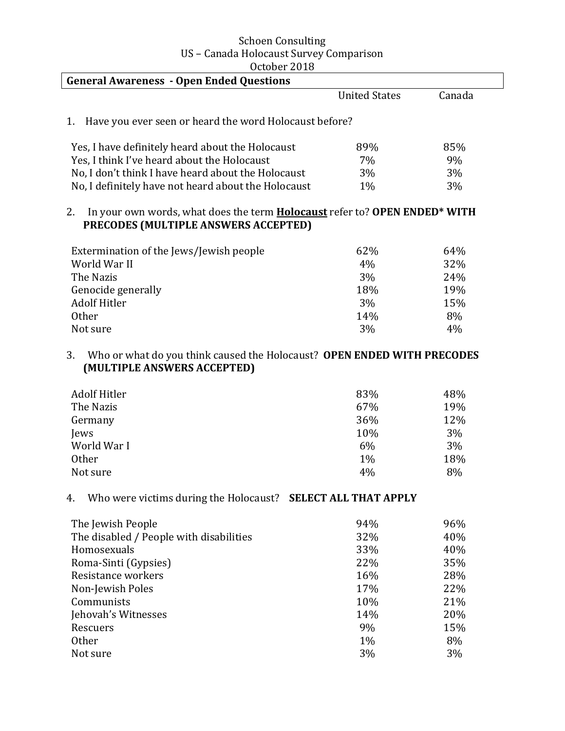| <b>Schoen Consulting</b>                |
|-----------------------------------------|
| US - Canada Holocaust Survey Comparison |
| October 2018                            |

| <b>United States</b><br>Canada<br>Have you ever seen or heard the word Holocaust before?<br>1.<br>Yes, I have definitely heard about the Holocaust<br>89%<br>85%<br>Yes, I think I've heard about the Holocaust<br>7%<br>9%<br>No, I don't think I have heard about the Holocaust<br>3%<br>3%<br>No, I definitely have not heard about the Holocaust<br>1%<br>3%<br>In your own words, what does the term <b>Holocaust</b> refer to? OPEN ENDED <sup>*</sup> WITH<br>2.<br>PRECODES (MULTIPLE ANSWERS ACCEPTED)<br>64%<br>Extermination of the Jews/Jewish people<br>62%<br>World War II<br>4%<br>32%<br>3%<br>The Nazis<br>24%<br>18%<br>Genocide generally<br>19%<br><b>Adolf Hitler</b><br>3%<br>15%<br><b>Other</b><br>14%<br>8%<br>3%<br>4%<br>Not sure<br>Who or what do you think caused the Holocaust? OPEN ENDED WITH PRECODES<br>3.<br>(MULTIPLE ANSWERS ACCEPTED)<br><b>Adolf Hitler</b><br>83%<br>48%<br>The Nazis<br>67%<br>19%<br>36%<br>12%<br>Germany<br>10%<br>3%<br>Jews<br>World War I<br>6%<br>3%<br><b>Other</b><br>1%<br>18%<br>4%<br>8%<br>Not sure<br>Who were victims during the Holocaust? SELECT ALL THAT APPLY<br>4.<br>The Jewish People<br>94%<br>96%<br>The disabled / People with disabilities<br>32%<br>40%<br>Homosexuals<br>33%<br>40%<br>Roma-Sinti (Gypsies)<br>22%<br>35%<br>Resistance workers<br>16%<br>28%<br>17%<br>22%<br>Non-Jewish Poles<br>Communists<br>10%<br>21%<br>Jehovah's Witnesses<br>14%<br>20%<br>9%<br>15%<br>Rescuers | <b>General Awareness - Open Ended Questions</b> |    |    |
|---------------------------------------------------------------------------------------------------------------------------------------------------------------------------------------------------------------------------------------------------------------------------------------------------------------------------------------------------------------------------------------------------------------------------------------------------------------------------------------------------------------------------------------------------------------------------------------------------------------------------------------------------------------------------------------------------------------------------------------------------------------------------------------------------------------------------------------------------------------------------------------------------------------------------------------------------------------------------------------------------------------------------------------------------------------------------------------------------------------------------------------------------------------------------------------------------------------------------------------------------------------------------------------------------------------------------------------------------------------------------------------------------------------------------------------------------------------------------------|-------------------------------------------------|----|----|
|                                                                                                                                                                                                                                                                                                                                                                                                                                                                                                                                                                                                                                                                                                                                                                                                                                                                                                                                                                                                                                                                                                                                                                                                                                                                                                                                                                                                                                                                                 |                                                 |    |    |
|                                                                                                                                                                                                                                                                                                                                                                                                                                                                                                                                                                                                                                                                                                                                                                                                                                                                                                                                                                                                                                                                                                                                                                                                                                                                                                                                                                                                                                                                                 |                                                 |    |    |
|                                                                                                                                                                                                                                                                                                                                                                                                                                                                                                                                                                                                                                                                                                                                                                                                                                                                                                                                                                                                                                                                                                                                                                                                                                                                                                                                                                                                                                                                                 |                                                 |    |    |
|                                                                                                                                                                                                                                                                                                                                                                                                                                                                                                                                                                                                                                                                                                                                                                                                                                                                                                                                                                                                                                                                                                                                                                                                                                                                                                                                                                                                                                                                                 |                                                 |    |    |
|                                                                                                                                                                                                                                                                                                                                                                                                                                                                                                                                                                                                                                                                                                                                                                                                                                                                                                                                                                                                                                                                                                                                                                                                                                                                                                                                                                                                                                                                                 |                                                 |    |    |
|                                                                                                                                                                                                                                                                                                                                                                                                                                                                                                                                                                                                                                                                                                                                                                                                                                                                                                                                                                                                                                                                                                                                                                                                                                                                                                                                                                                                                                                                                 |                                                 |    |    |
|                                                                                                                                                                                                                                                                                                                                                                                                                                                                                                                                                                                                                                                                                                                                                                                                                                                                                                                                                                                                                                                                                                                                                                                                                                                                                                                                                                                                                                                                                 |                                                 |    |    |
|                                                                                                                                                                                                                                                                                                                                                                                                                                                                                                                                                                                                                                                                                                                                                                                                                                                                                                                                                                                                                                                                                                                                                                                                                                                                                                                                                                                                                                                                                 |                                                 |    |    |
|                                                                                                                                                                                                                                                                                                                                                                                                                                                                                                                                                                                                                                                                                                                                                                                                                                                                                                                                                                                                                                                                                                                                                                                                                                                                                                                                                                                                                                                                                 |                                                 |    |    |
|                                                                                                                                                                                                                                                                                                                                                                                                                                                                                                                                                                                                                                                                                                                                                                                                                                                                                                                                                                                                                                                                                                                                                                                                                                                                                                                                                                                                                                                                                 |                                                 |    |    |
|                                                                                                                                                                                                                                                                                                                                                                                                                                                                                                                                                                                                                                                                                                                                                                                                                                                                                                                                                                                                                                                                                                                                                                                                                                                                                                                                                                                                                                                                                 |                                                 |    |    |
|                                                                                                                                                                                                                                                                                                                                                                                                                                                                                                                                                                                                                                                                                                                                                                                                                                                                                                                                                                                                                                                                                                                                                                                                                                                                                                                                                                                                                                                                                 |                                                 |    |    |
|                                                                                                                                                                                                                                                                                                                                                                                                                                                                                                                                                                                                                                                                                                                                                                                                                                                                                                                                                                                                                                                                                                                                                                                                                                                                                                                                                                                                                                                                                 |                                                 |    |    |
|                                                                                                                                                                                                                                                                                                                                                                                                                                                                                                                                                                                                                                                                                                                                                                                                                                                                                                                                                                                                                                                                                                                                                                                                                                                                                                                                                                                                                                                                                 |                                                 |    |    |
|                                                                                                                                                                                                                                                                                                                                                                                                                                                                                                                                                                                                                                                                                                                                                                                                                                                                                                                                                                                                                                                                                                                                                                                                                                                                                                                                                                                                                                                                                 |                                                 |    |    |
|                                                                                                                                                                                                                                                                                                                                                                                                                                                                                                                                                                                                                                                                                                                                                                                                                                                                                                                                                                                                                                                                                                                                                                                                                                                                                                                                                                                                                                                                                 |                                                 |    |    |
|                                                                                                                                                                                                                                                                                                                                                                                                                                                                                                                                                                                                                                                                                                                                                                                                                                                                                                                                                                                                                                                                                                                                                                                                                                                                                                                                                                                                                                                                                 |                                                 |    |    |
|                                                                                                                                                                                                                                                                                                                                                                                                                                                                                                                                                                                                                                                                                                                                                                                                                                                                                                                                                                                                                                                                                                                                                                                                                                                                                                                                                                                                                                                                                 |                                                 |    |    |
|                                                                                                                                                                                                                                                                                                                                                                                                                                                                                                                                                                                                                                                                                                                                                                                                                                                                                                                                                                                                                                                                                                                                                                                                                                                                                                                                                                                                                                                                                 |                                                 |    |    |
|                                                                                                                                                                                                                                                                                                                                                                                                                                                                                                                                                                                                                                                                                                                                                                                                                                                                                                                                                                                                                                                                                                                                                                                                                                                                                                                                                                                                                                                                                 |                                                 |    |    |
|                                                                                                                                                                                                                                                                                                                                                                                                                                                                                                                                                                                                                                                                                                                                                                                                                                                                                                                                                                                                                                                                                                                                                                                                                                                                                                                                                                                                                                                                                 |                                                 |    |    |
|                                                                                                                                                                                                                                                                                                                                                                                                                                                                                                                                                                                                                                                                                                                                                                                                                                                                                                                                                                                                                                                                                                                                                                                                                                                                                                                                                                                                                                                                                 |                                                 |    |    |
|                                                                                                                                                                                                                                                                                                                                                                                                                                                                                                                                                                                                                                                                                                                                                                                                                                                                                                                                                                                                                                                                                                                                                                                                                                                                                                                                                                                                                                                                                 |                                                 |    |    |
|                                                                                                                                                                                                                                                                                                                                                                                                                                                                                                                                                                                                                                                                                                                                                                                                                                                                                                                                                                                                                                                                                                                                                                                                                                                                                                                                                                                                                                                                                 |                                                 |    |    |
|                                                                                                                                                                                                                                                                                                                                                                                                                                                                                                                                                                                                                                                                                                                                                                                                                                                                                                                                                                                                                                                                                                                                                                                                                                                                                                                                                                                                                                                                                 |                                                 |    |    |
|                                                                                                                                                                                                                                                                                                                                                                                                                                                                                                                                                                                                                                                                                                                                                                                                                                                                                                                                                                                                                                                                                                                                                                                                                                                                                                                                                                                                                                                                                 |                                                 |    |    |
|                                                                                                                                                                                                                                                                                                                                                                                                                                                                                                                                                                                                                                                                                                                                                                                                                                                                                                                                                                                                                                                                                                                                                                                                                                                                                                                                                                                                                                                                                 |                                                 |    |    |
|                                                                                                                                                                                                                                                                                                                                                                                                                                                                                                                                                                                                                                                                                                                                                                                                                                                                                                                                                                                                                                                                                                                                                                                                                                                                                                                                                                                                                                                                                 |                                                 |    |    |
|                                                                                                                                                                                                                                                                                                                                                                                                                                                                                                                                                                                                                                                                                                                                                                                                                                                                                                                                                                                                                                                                                                                                                                                                                                                                                                                                                                                                                                                                                 |                                                 |    |    |
|                                                                                                                                                                                                                                                                                                                                                                                                                                                                                                                                                                                                                                                                                                                                                                                                                                                                                                                                                                                                                                                                                                                                                                                                                                                                                                                                                                                                                                                                                 |                                                 |    |    |
|                                                                                                                                                                                                                                                                                                                                                                                                                                                                                                                                                                                                                                                                                                                                                                                                                                                                                                                                                                                                                                                                                                                                                                                                                                                                                                                                                                                                                                                                                 |                                                 |    |    |
|                                                                                                                                                                                                                                                                                                                                                                                                                                                                                                                                                                                                                                                                                                                                                                                                                                                                                                                                                                                                                                                                                                                                                                                                                                                                                                                                                                                                                                                                                 | Other                                           | 1% | 8% |
| Not sure<br>3%<br>3%                                                                                                                                                                                                                                                                                                                                                                                                                                                                                                                                                                                                                                                                                                                                                                                                                                                                                                                                                                                                                                                                                                                                                                                                                                                                                                                                                                                                                                                            |                                                 |    |    |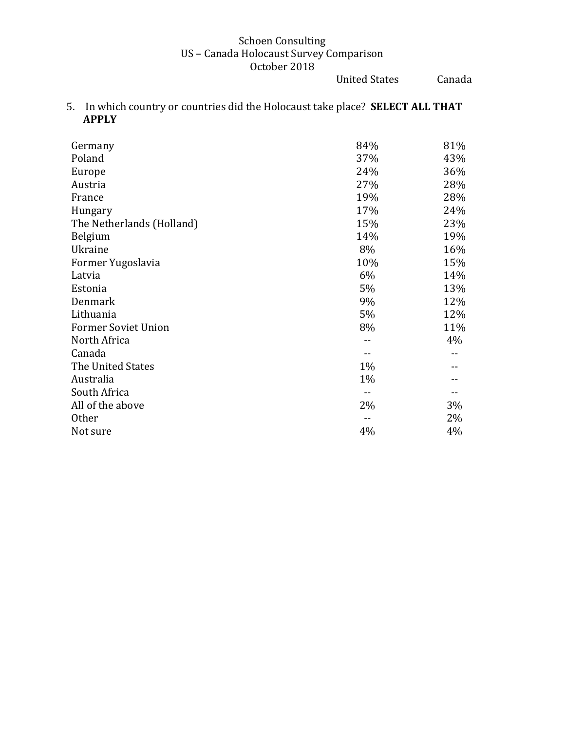United States Canada

5. In which country or countries did the Holocaust take place? **SELECT ALL THAT APPLY** 

| Germany                    | 84% | 81% |
|----------------------------|-----|-----|
| Poland                     | 37% | 43% |
| Europe                     | 24% | 36% |
| Austria                    | 27% | 28% |
| France                     | 19% | 28% |
| Hungary                    | 17% | 24% |
| The Netherlands (Holland)  | 15% | 23% |
| Belgium                    | 14% | 19% |
| Ukraine                    | 8%  | 16% |
| Former Yugoslavia          | 10% | 15% |
| Latvia                     | 6%  | 14% |
| Estonia                    | 5%  | 13% |
| Denmark                    | 9%  | 12% |
| Lithuania                  | 5%  | 12% |
| <b>Former Soviet Union</b> | 8%  | 11% |
| North Africa               |     | 4%  |
| Canada                     |     |     |
| The United States          | 1%  |     |
| Australia                  | 1%  |     |
| South Africa               |     |     |
| All of the above           | 2%  | 3%  |
| Other                      |     | 2%  |
| Not sure                   | 4%  | 4%  |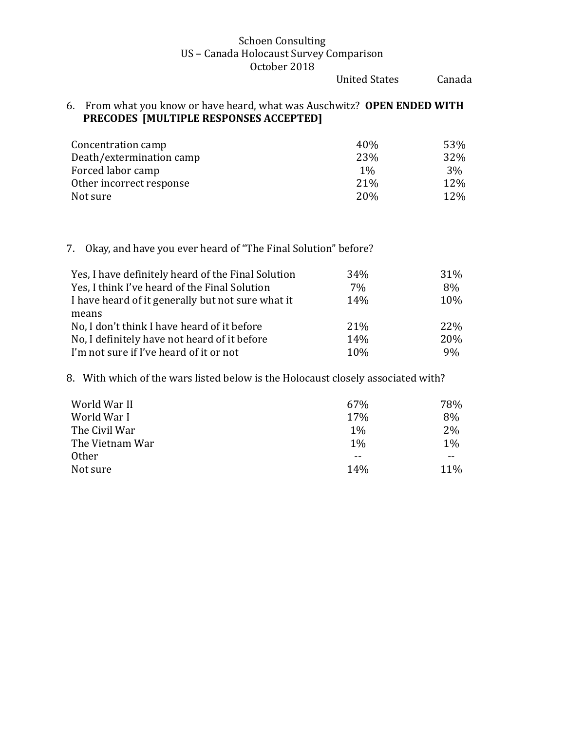United States Canada

### 6. From what you know or have heard, what was Auschwitz? OPEN ENDED WITH **PRECODES** [MULTIPLE RESPONSES ACCEPTED]

| Concentration camp       | 40%             | 53% |
|--------------------------|-----------------|-----|
| Death/extermination camp | 23%             | 32% |
| Forced labor camp        | $1\%$           | 3%  |
| Other incorrect response | 21 <sup>%</sup> | 12% |
| Not sure                 | <b>20%</b>      | 12% |

## 7. Okay, and have you ever heard of "The Final Solution" before?

| Yes, I have definitely heard of the Final Solution | 34% | 31% |
|----------------------------------------------------|-----|-----|
| Yes, I think I've heard of the Final Solution      | 7%  | 8%  |
| I have heard of it generally but not sure what it  | 14% | 10% |
| means                                              |     |     |
| No, I don't think I have heard of it before        | 21% | 22% |
| No, I definitely have not heard of it before       | 14% | 20% |
| I'm not sure if I've heard of it or not            | 10% | 9%  |

8. With which of the wars listed below is the Holocaust closely associated with?

| World War II    | 67%   | 78%   |
|-----------------|-------|-------|
| World War I     | 17%   | 8%    |
| The Civil War   | $1\%$ | 2%    |
| The Vietnam War | $1\%$ | 1%    |
| <b>Other</b>    | --    | $- -$ |
| Not sure        | 14%   | 11%   |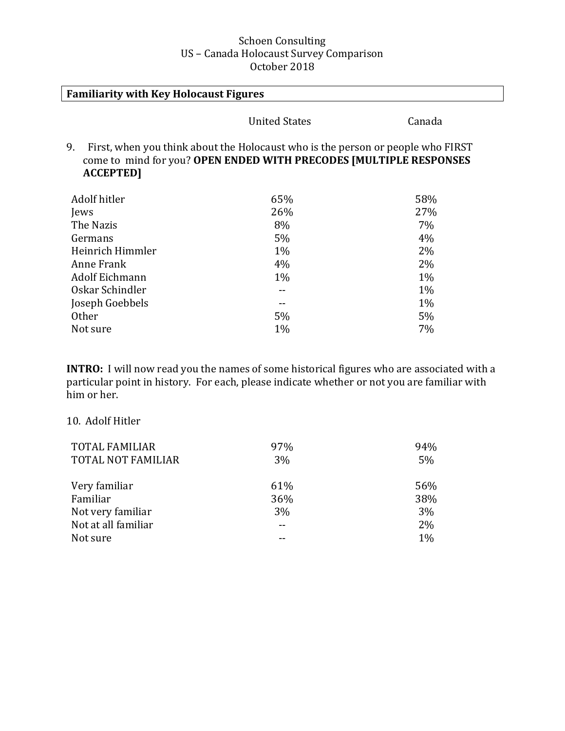| <b>Familiarity with Key Holocaust Figures</b>                                                                                                                                   |                      |        |  |
|---------------------------------------------------------------------------------------------------------------------------------------------------------------------------------|----------------------|--------|--|
|                                                                                                                                                                                 | <b>United States</b> | Canada |  |
| 9.<br>First, when you think about the Holocaust who is the person or people who FIRST<br>come to mind for you? OPEN ENDED WITH PRECODES [MULTIPLE RESPONSES<br><b>ACCEPTED]</b> |                      |        |  |
| Adolf hitler                                                                                                                                                                    | 65%                  | 58%    |  |
| Jews                                                                                                                                                                            | 26%                  | 27%    |  |
| The Nazis                                                                                                                                                                       | 8%                   | 7%     |  |
| Germans                                                                                                                                                                         | 5%                   | 4%     |  |
| Heinrich Himmler                                                                                                                                                                | 1%                   | 2%     |  |
| Anne Frank                                                                                                                                                                      | 4%                   | 2%     |  |
| Adolf Eichmann                                                                                                                                                                  | $1\%$                | 1%     |  |
| Oskar Schindler                                                                                                                                                                 |                      | 1%     |  |
| Joseph Goebbels                                                                                                                                                                 |                      | $1\%$  |  |
| <b>Other</b>                                                                                                                                                                    | 5%                   | 5%     |  |
| Not sure                                                                                                                                                                        | 1%                   | 7%     |  |

**INTRO:** I will now read you the names of some historical figures who are associated with a particular point in history. For each, please indicate whether or not you are familiar with him or her.

### 10. Adolf Hitler

| <b>TOTAL FAMILIAR</b><br><b>TOTAL NOT FAMILIAR</b> | 97%<br>3% | 94%<br>5% |
|----------------------------------------------------|-----------|-----------|
| Very familiar                                      | 61%       | 56%       |
| Familiar                                           | 36%       | 38%       |
| Not very familiar                                  | 3%        | 3%        |
| Not at all familiar                                |           | 2%        |
| Not sure                                           |           | $1\%$     |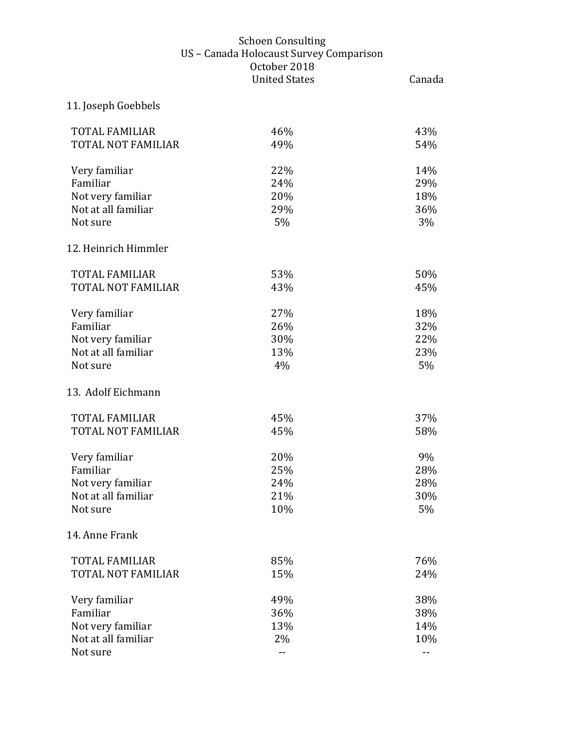| 11. Joseph Goebbels                      |            |            |
|------------------------------------------|------------|------------|
| <b>TOTAL FAMILIAR</b>                    | 46%        | 43%        |
| <b>TOTAL NOT FAMILIAR</b>                | 49%        | 54%        |
| Very familiar                            | 22%        | 14%        |
| Familiar                                 | 24%        | 29%        |
| Not very familiar                        | 20%        | 18%        |
| Not at all familiar<br>Not sure          | 29%<br>5%  | 36%<br>3%  |
| 12. Heinrich Himmler                     |            |            |
| <b>TOTAL FAMILIAR</b>                    | 53%        | 50%        |
| <b>TOTAL NOT FAMILIAR</b>                | 43%        | 45%        |
| Very familiar                            | 27%        | 18%        |
| Familiar                                 | 26%        | 32%        |
| Not very familiar                        | 30%        | 22%        |
| Not at all familiar                      | 13%        | 23%        |
| Not sure                                 | 4%         | 5%         |
| 13. Adolf Eichmann                       |            |            |
| <b>TOTAL FAMILIAR</b>                    | 45%        | 37%        |
| <b>TOTAL NOT FAMILIAR</b>                | 45%        | 58%        |
| Very familiar                            | 20%        | 9%         |
| Familiar                                 | 25%        | 28%        |
| Not very familiar<br>Not at all familiar | 24%<br>21% | 28%<br>30% |
| Not sure                                 | 10%        | 5%         |
| 14. Anne Frank                           |            |            |
| <b>TOTAL FAMILIAR</b>                    | 85%        | 76%        |
| <b>TOTAL NOT FAMILIAR</b>                | 15%        | 24%        |
| Very familiar                            | 49%        | 38%        |
| Familiar                                 | 36%        | 38%        |
| Not very familiar<br>Not at all familiar | 13%<br>2%  | 14%        |
| Not sure                                 | --         | 10%<br>--  |
|                                          |            |            |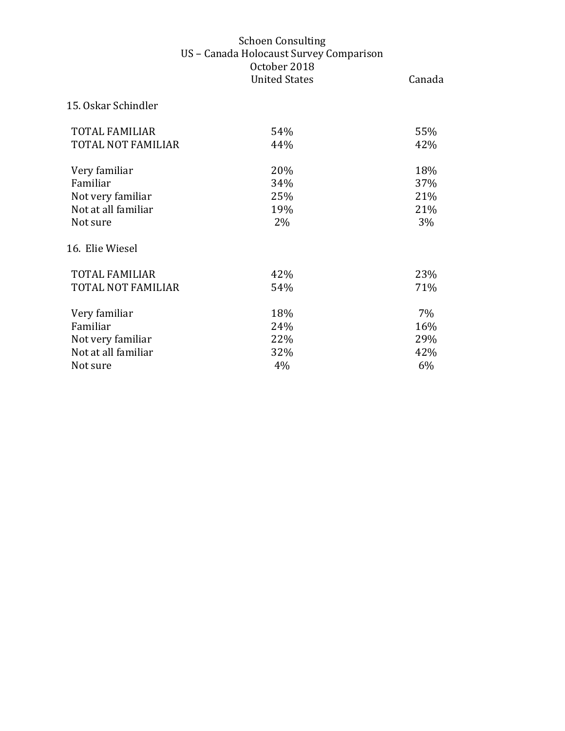# 15. Oskar Schindler

| <b>TOTAL FAMILIAR</b> | 54% | 55% |
|-----------------------|-----|-----|
| TOTAL NOT FAMILIAR    | 44% | 42% |
| Very familiar         | 20% | 18% |
| Familiar              | 34% | 37% |
| Not very familiar     | 25% | 21% |
| Not at all familiar   | 19% | 21% |
| Not sure              | 2%  | 3%  |
| 16. Elie Wiesel       |     |     |
| <b>TOTAL FAMILIAR</b> | 42% | 23% |
| TOTAL NOT FAMILIAR    | 54% | 71% |
| Very familiar         | 18% | 7%  |
| Familiar              | 24% | 16% |
| Not very familiar     | 22% | 29% |
| Not at all familiar   | 32% | 42% |
| Not sure              | 4%  | 6%  |
|                       |     |     |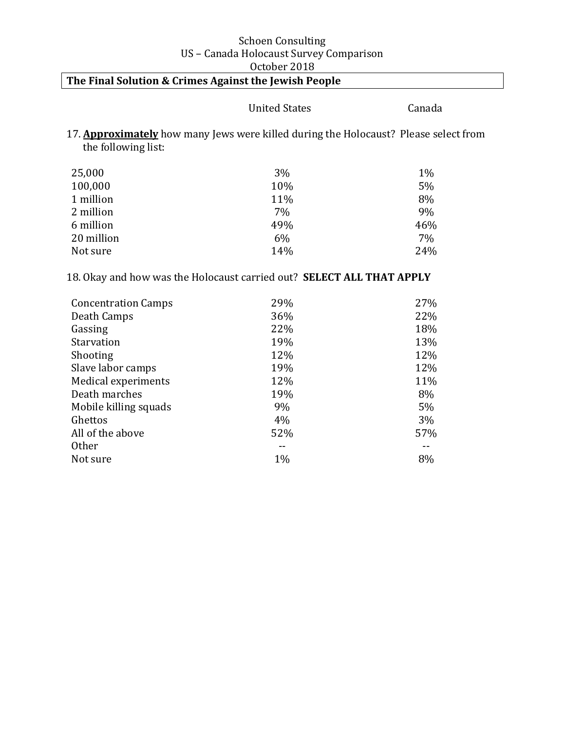# The Final Solution & Crimes Against the Jewish People

# United States Canada

17. **Approximately** how many Jews were killed during the Holocaust? Please select from the following list:

| 25,000     | 3%  | 1%  |
|------------|-----|-----|
| 100,000    | 10% | 5%  |
| 1 million  | 11% | 8%  |
| 2 million  | 7%  | 9%  |
| 6 million  | 49% | 46% |
| 20 million | 6%  | 7%  |
| Not sure   | 14% | 24% |

18. Okay and how was the Holocaust carried out? **SELECT ALL THAT APPLY** 

| <b>Concentration Camps</b> | 29%   | 27% |
|----------------------------|-------|-----|
| Death Camps                | 36%   | 22% |
| Gassing                    | 22%   | 18% |
| Starvation                 | 19%   | 13% |
| Shooting                   | 12%   | 12% |
| Slave labor camps          | 19%   | 12% |
| Medical experiments        | 12%   | 11% |
| Death marches              | 19%   | 8%  |
| Mobile killing squads      | 9%    | 5%  |
| Ghettos                    | 4%    | 3%  |
| All of the above           | 52%   | 57% |
| <b>Other</b>               |       |     |
| Not sure                   | $1\%$ | 8%  |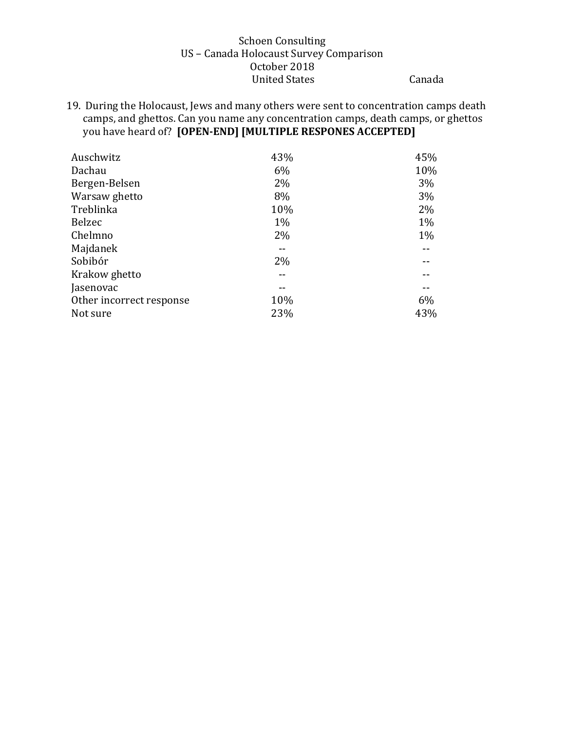19. During the Holocaust, Jews and many others were sent to concentration camps death camps, and ghettos. Can you name any concentration camps, death camps, or ghettos you have heard of? **[OPEN-END]** [MULTIPLE RESPONES ACCEPTED]

| Auschwitz                | 43% | 45% |
|--------------------------|-----|-----|
| Dachau                   | 6%  | 10% |
| Bergen-Belsen            | 2%  | 3%  |
| Warsaw ghetto            | 8%  | 3%  |
| Treblinka                | 10% | 2%  |
| Belzec                   | 1%  | 1%  |
| Chelmno                  | 2%  | 1%  |
| Majdanek                 |     |     |
| Sobibór                  | 2%  |     |
| Krakow ghetto            |     |     |
| Jasenovac                |     |     |
| Other incorrect response | 10% | 6%  |
| Not sure                 | 23% | 43% |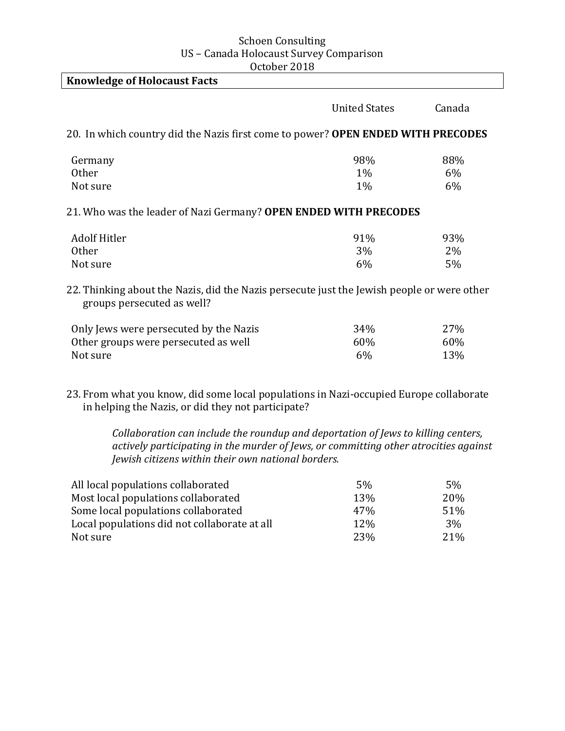| <b>Knowledge of Holocaust Facts</b>                                                                                      |                      |                    |
|--------------------------------------------------------------------------------------------------------------------------|----------------------|--------------------|
|                                                                                                                          | <b>United States</b> | Canada             |
| 20. In which country did the Nazis first come to power? OPEN ENDED WITH PRECODES                                         |                      |                    |
| Germany<br>Other                                                                                                         | 98%<br>$1\%$         | 88%<br>6%          |
| Not sure                                                                                                                 | $1\%$                | 6%                 |
| 21. Who was the leader of Nazi Germany? OPEN ENDED WITH PRECODES                                                         |                      |                    |
| <b>Adolf Hitler</b><br><b>Other</b><br>Not sure                                                                          | 91%<br>3%<br>6%      | 93%<br>$2\%$<br>5% |
| 22. Thinking about the Nazis, did the Nazis persecute just the Jewish people or were other<br>groups persecuted as well? |                      |                    |
| Only Jews were persecuted by the Nazis<br>Other groups were persecuted as well<br>Not sure                               | 34%<br>60%<br>6%     | 27%<br>60%<br>13%  |

23. From what you know, did some local populations in Nazi-occupied Europe collaborate in helping the Nazis, or did they not participate?

> *Collaboration can include the roundup and deportation of Jews to killing centers,* actively participating in the murder of Jews, or committing other atrocities against *Jewish citizens within their own national borders.*

| All local populations collaborated           | 5%              | .5 <sub>%</sub> |
|----------------------------------------------|-----------------|-----------------|
| Most local populations collaborated          | 13%             | <b>20%</b>      |
| Some local populations collaborated          | 47 <sub>%</sub> | 51%             |
| Local populations did not collaborate at all | <b>12%</b>      | 3%              |
| Not sure                                     | 23%             | 21 <sup>%</sup> |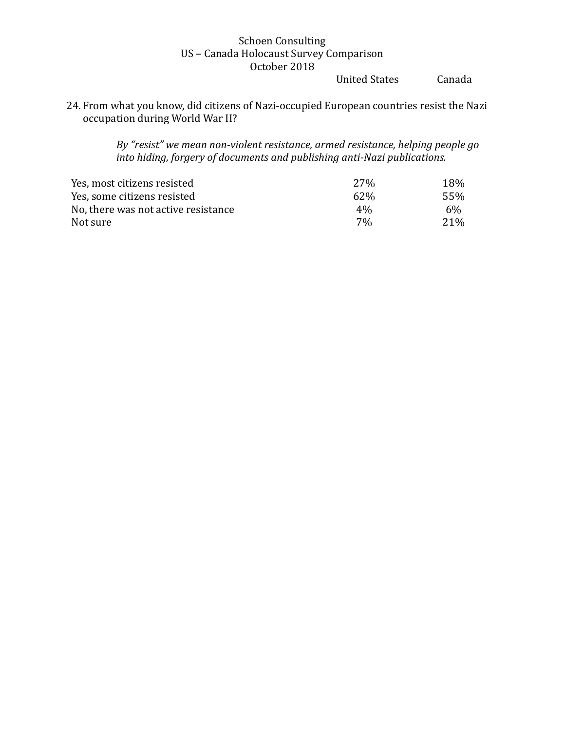United States Canada

24. From what you know, did citizens of Nazi-occupied European countries resist the Nazi occupation during World War II?

> By "resist" we mean non-violent resistance, armed resistance, helping people go *into hiding, forgery of documents and publishing anti-Nazi publications.*

| Yes, most citizens resisted         | 27%             | 18%              |
|-------------------------------------|-----------------|------------------|
| Yes, some citizens resisted         | 62\%            | .55%             |
| No, there was not active resistance | $4\%$           | 6%               |
| Not sure                            | 70 <sub>0</sub> | 2.1 <sup>%</sup> |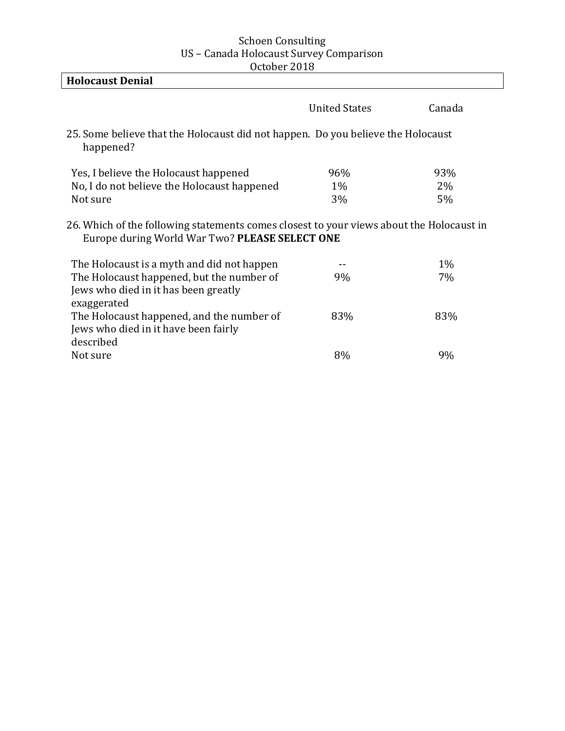| <b>Holocaust Denial</b>                                                                                                                    |                      |        |
|--------------------------------------------------------------------------------------------------------------------------------------------|----------------------|--------|
|                                                                                                                                            | <b>United States</b> | Canada |
| 25. Some believe that the Holocaust did not happen. Do you believe the Holocaust<br>happened?                                              |                      |        |
| Yes, I believe the Holocaust happened                                                                                                      | 96%                  | 93%    |
| No, I do not believe the Holocaust happened                                                                                                | 1%                   | 2%     |
| Not sure                                                                                                                                   | 3%                   | 5%     |
| 26. Which of the following statements comes closest to your views about the Holocaust in<br>Europe during World War Two? PLEASE SELECT ONE |                      |        |
| The Holocaust is a myth and did not happen                                                                                                 |                      | $1\%$  |
| The Holocaust happened, but the number of                                                                                                  | 9%                   | 7%     |
| Jews who died in it has been greatly<br>exaggerated                                                                                        |                      |        |
| The Holocaust happened, and the number of                                                                                                  | 83%                  | 83%    |
| Jews who died in it have been fairly                                                                                                       |                      |        |
| described                                                                                                                                  |                      |        |
| Not sure                                                                                                                                   | 8%                   | 9%     |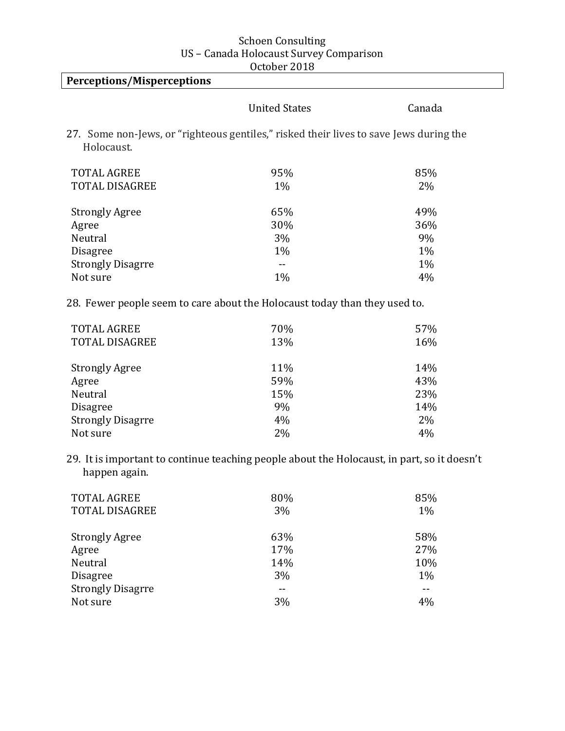| <b>Perceptions/Misperceptions</b>           |                                                                                             |        |
|---------------------------------------------|---------------------------------------------------------------------------------------------|--------|
|                                             | <b>United States</b>                                                                        | Canada |
| Holocaust.                                  | 27. Some non-Jews, or "righteous gentiles," risked their lives to save Jews during the      |        |
| <b>TOTAL AGREE</b>                          | 95%                                                                                         | 85%    |
| <b>TOTAL DISAGREE</b>                       | 1%                                                                                          | 2%     |
|                                             |                                                                                             |        |
| <b>Strongly Agree</b>                       | 65%                                                                                         | 49%    |
| Agree                                       | 30%                                                                                         | 36%    |
| Neutral                                     | 3%                                                                                          | 9%     |
| Disagree                                    | 1%                                                                                          | 1%     |
| <b>Strongly Disagrre</b>                    | $\sim$ $-$                                                                                  | 1%     |
| Not sure                                    | 1%                                                                                          | 4%     |
|                                             | 28. Fewer people seem to care about the Holocaust today than they used to.                  |        |
| <b>TOTAL AGREE</b><br><b>TOTAL DISAGREE</b> | 70%                                                                                         | 57%    |
|                                             | 13%                                                                                         | 16%    |
| <b>Strongly Agree</b>                       | 11%                                                                                         | 14%    |
| Agree                                       | 59%                                                                                         | 43%    |
| Neutral                                     | 15%                                                                                         | 23%    |
| Disagree                                    | 9%                                                                                          | 14%    |
| <b>Strongly Disagrre</b>                    | 4%                                                                                          | 2%     |
| Not sure                                    | 2%                                                                                          | 4%     |
| happen again.                               | 29. It is important to continue teaching people about the Holocaust, in part, so it doesn't |        |
| <b>TOTAL AGREE</b>                          | 80%                                                                                         | 85%    |
| TOTAL DISAGREE                              | 3%                                                                                          | 1%     |
| <b>Strongly Agree</b>                       | 63%                                                                                         | 58%    |
| Agree                                       | 17%                                                                                         | 27%    |
| Neutral                                     | 14%                                                                                         | 10%    |
| <b>Disagree</b>                             | 3%                                                                                          | 1%     |

Strongly Disagrre -- -- Not sure  $3\%$  4%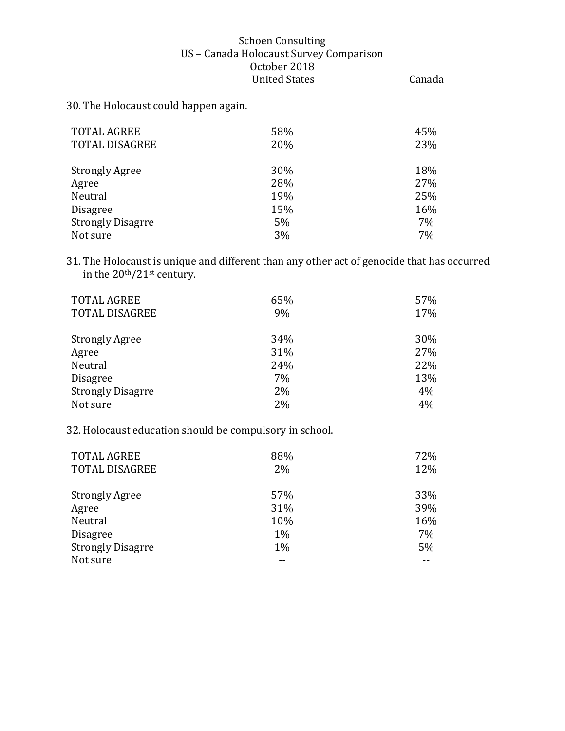30. The Holocaust could happen again.

| <b>TOTAL AGREE</b><br><b>TOTAL DISAGREE</b> | 58%<br>20% | 45%<br>23% |
|---------------------------------------------|------------|------------|
| <b>Strongly Agree</b>                       | 30%        | 18%        |
| Agree                                       | 28%        | 27%        |
| Neutral                                     | 19%        | 25%        |
| <b>Disagree</b>                             | 15%        | 16%        |
| <b>Strongly Disagrre</b>                    | 5%         | 7%         |
| Not sure                                    | 3%         | 7%         |

31. The Holocaust is unique and different than any other act of genocide that has occurred in the  $20<sup>th</sup>/21<sup>st</sup>$  century.

| <b>TOTAL AGREE</b><br><b>TOTAL DISAGREE</b> | 65%<br>9% | 57%<br>17% |
|---------------------------------------------|-----------|------------|
| <b>Strongly Agree</b>                       | 34%       | 30%        |
| Agree                                       | 31%       | 27%        |
| Neutral                                     | 24%       | 22%        |
| <b>Disagree</b>                             | 7%        | 13%        |
| <b>Strongly Disagrre</b>                    | 2%        | 4%         |
| Not sure                                    | 2%        | 4%         |

32. Holocaust education should be compulsory in school.

| <b>TOTAL AGREE</b><br><b>TOTAL DISAGREE</b> | 88%<br>2% | 72%<br>12% |
|---------------------------------------------|-----------|------------|
| <b>Strongly Agree</b>                       | 57%       | 33%        |
| Agree                                       | 31%       | 39%        |
| Neutral                                     | 10%       | 16%        |
| <b>Disagree</b>                             | 1%        | 7%         |
| <b>Strongly Disagrre</b>                    | 1%        | 5%         |
| Not sure                                    |           |            |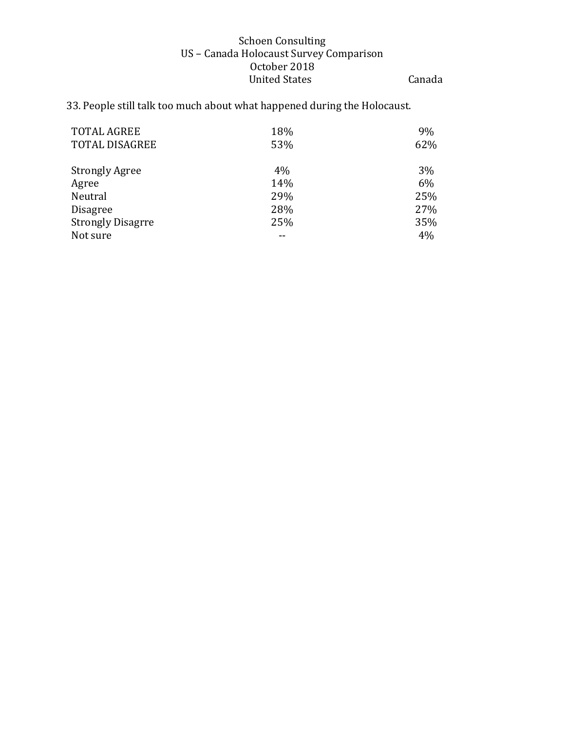# 33. People still talk too much about what happened during the Holocaust.

| <b>TOTAL AGREE</b>       | 18% | 9%  |
|--------------------------|-----|-----|
| <b>TOTAL DISAGREE</b>    | 53% | 62% |
|                          |     |     |
| <b>Strongly Agree</b>    | 4%  | 3%  |
| Agree                    | 14% | 6%  |
| Neutral                  | 29% | 25% |
| <b>Disagree</b>          | 28% | 27% |
| <b>Strongly Disagrre</b> | 25% | 35% |
| Not sure                 |     | 4%  |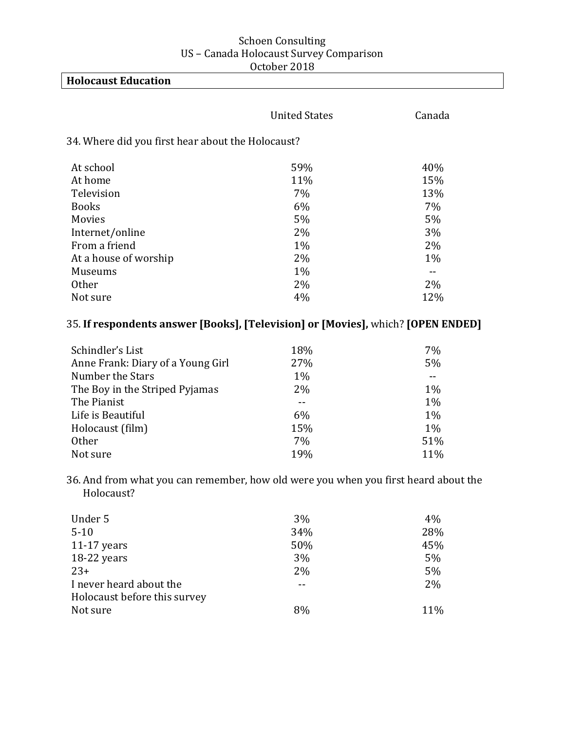| <b>Holocaust Education</b>                        |                      |        |
|---------------------------------------------------|----------------------|--------|
|                                                   | <b>United States</b> | Canada |
| 34. Where did you first hear about the Holocaust? |                      |        |
| At school                                         | 59%                  | 40%    |
| At home                                           | 11%                  | 15%    |
| Television                                        | 7%                   | 13%    |
| <b>Books</b>                                      | 6%                   | 7%     |
| <b>Movies</b>                                     | 5%                   | 5%     |
| Internet/online                                   | 2%                   | 3%     |
| From a friend                                     | 1%                   | 2%     |
| At a house of worship                             | 2%                   | $1\%$  |
| Museums                                           | 1%                   | --     |

# 35. If respondents answer [Books], [Television] or [Movies], which? [OPEN ENDED]

| Schindler's List                  | 18% | 7%  |
|-----------------------------------|-----|-----|
| Anne Frank: Diary of a Young Girl | 27% | 5%  |
| Number the Stars                  | 1%  |     |
| The Boy in the Striped Pyjamas    | 2%  | 1%  |
| The Pianist                       |     | 1%  |
| Life is Beautiful                 | 6%  | 1%  |
| Holocaust (film)                  | 15% | 1%  |
| <b>Other</b>                      | 7%  | 51% |
| Not sure                          | 19% | 11% |

Other  $2\%$  2%  $2\%$ Not sure  $4\%$   $12\%$ 

36. And from what you can remember, how old were you when you first heard about the Holocaust? 

| Under 5                      | 3%  | 4%  |
|------------------------------|-----|-----|
| $5 - 10$                     | 34% | 28% |
| $11-17$ years                | 50% | 45% |
| 18-22 years                  | 3%  | 5%  |
| $23+$                        | 2%  | 5%  |
| I never heard about the      | --  | 2%  |
| Holocaust before this survey |     |     |
| Not sure                     | 8%  | 11% |
|                              |     |     |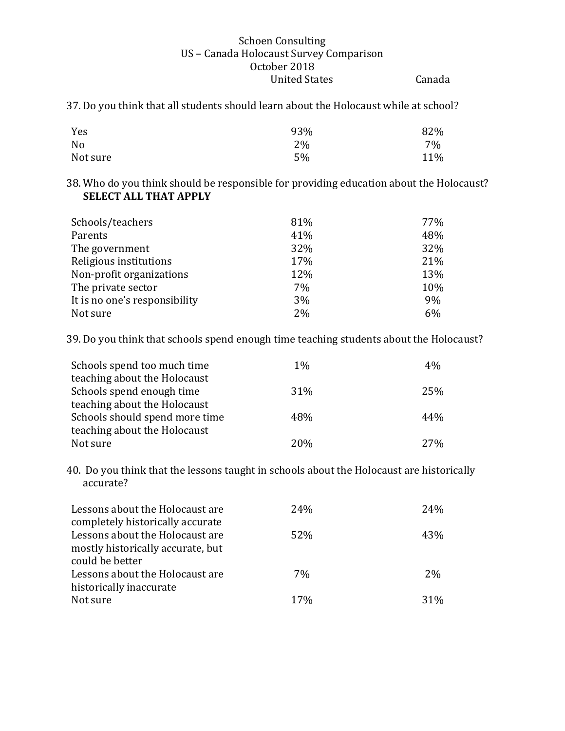37. Do you think that all students should learn about the Holocaust while at school?

| Yes            | 93% | 82% |
|----------------|-----|-----|
| N <sub>0</sub> | 2%  | 7%  |
| Not sure       | 5%  | 11% |

38. Who do you think should be responsible for providing education about the Holocaust? **SELECT ALL THAT APPLY** 

| Schools/teachers              | 81% | 77% |
|-------------------------------|-----|-----|
| Parents                       | 41% | 48% |
| The government                | 32% | 32% |
| Religious institutions        | 17% | 21% |
| Non-profit organizations      | 12% | 13% |
| The private sector            | 7%  | 10% |
| It is no one's responsibility | 3%  | 9%  |
| Not sure                      | 2%  | 6%  |

39. Do you think that schools spend enough time teaching students about the Holocaust?

| Schools spend too much time    | $1\%$ | 4%  |
|--------------------------------|-------|-----|
| teaching about the Holocaust   |       |     |
| Schools spend enough time      | 31%   | 25% |
| teaching about the Holocaust   |       |     |
| Schools should spend more time | 48%   | 44% |
| teaching about the Holocaust   |       |     |
| Not sure                       | 20%   | 27% |

40. Do you think that the lessons taught in schools about the Holocaust are historically accurate?

| Lessons about the Holocaust are<br>completely historically accurate  | 24% | 24% |
|----------------------------------------------------------------------|-----|-----|
| Lessons about the Holocaust are<br>mostly historically accurate, but | 52% | 43% |
| could be better                                                      |     |     |
| Lessons about the Holocaust are                                      | 7%  | 2%  |
| historically inaccurate                                              |     |     |
| Not sure                                                             | 17% | 31% |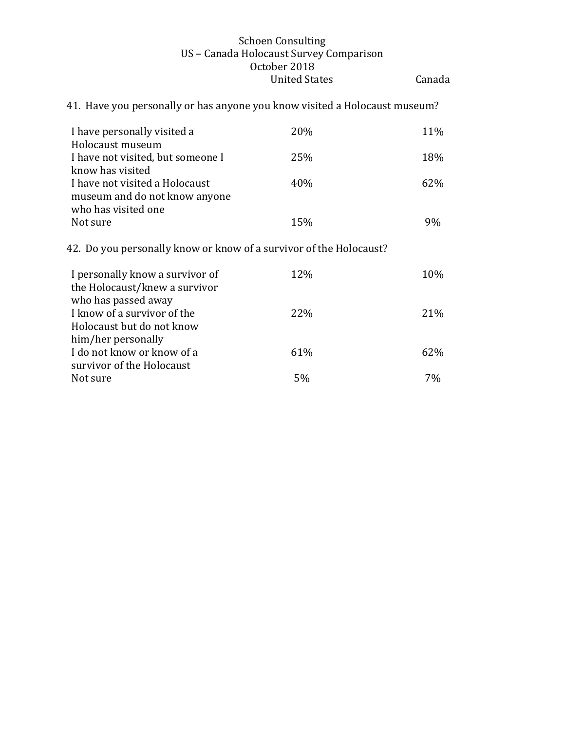41. Have you personally or has anyone you know visited a Holocaust museum? I have personally visited a Holocaust museum 20% 11% I have not visited, but someone I know has visited 25% 18% I have not visited a Holocaust museum and do not know anyone who has visited one 40% 62% Not sure  $15\%$  9% 42. Do you personally know or know of a survivor of the Holocaust? I personally know a survivor of the Holocaust/knew a survivor who has passed away 12% 10% I know of a survivor of the Holocaust but do not know him/her personally 22% 21% I do not know or know of a survivor of the Holocaust 61% 62% Not sure  $5\%$   $7\%$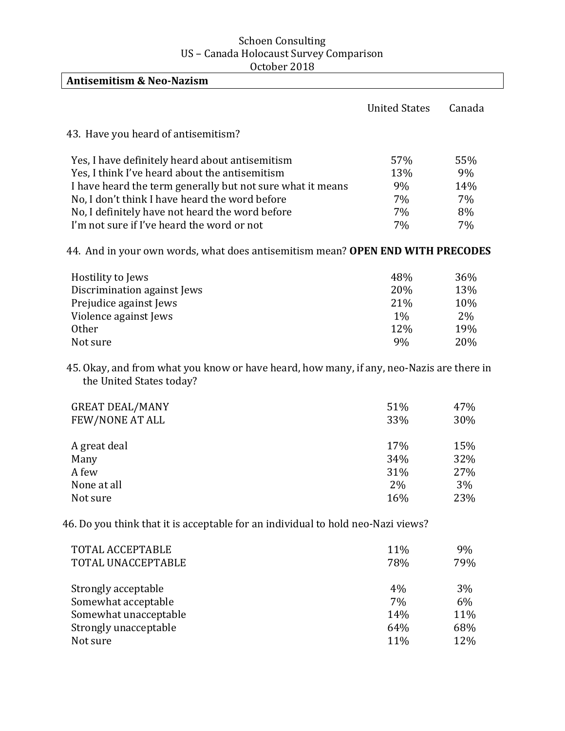| <b>Antisemitism &amp; Neo-Nazism</b>                                                                                 |                      |        |
|----------------------------------------------------------------------------------------------------------------------|----------------------|--------|
|                                                                                                                      | <b>United States</b> | Canada |
| 43. Have you heard of antisemitism?                                                                                  |                      |        |
| Yes, I have definitely heard about antisemitism                                                                      | 57%                  | 55%    |
| Yes, I think I've heard about the antisemitism                                                                       | 13%                  | 9%     |
| I have heard the term generally but not sure what it means                                                           | 9%                   | 14%    |
| No, I don't think I have heard the word before                                                                       | 7%                   | 7%     |
| No, I definitely have not heard the word before                                                                      | 7%                   | 8%     |
| I'm not sure if I've heard the word or not                                                                           | 7%                   | 7%     |
| 44. And in your own words, what does antisemitism mean? OPEN END WITH PRECODES                                       |                      |        |
| Hostility to Jews                                                                                                    | 48%                  | 36%    |
| Discrimination against Jews                                                                                          | 20%                  | 13%    |
| Prejudice against Jews                                                                                               | 21%                  | 10%    |
| Violence against Jews                                                                                                | 1%                   | 2%     |
| Other                                                                                                                | 12%                  | 19%    |
| Not sure                                                                                                             | 9%                   | 20%    |
| 45. Okay, and from what you know or have heard, how many, if any, neo-Nazis are there in<br>the United States today? |                      |        |
| <b>GREAT DEAL/MANY</b>                                                                                               | 51%                  | 47%    |
| FEW/NONE AT ALL                                                                                                      | 33%                  | 30%    |
| A great deal                                                                                                         | 17%                  | 15%    |
| Many                                                                                                                 | 34%                  | 32%    |
| A few                                                                                                                | 31%                  | 27%    |
| None at all                                                                                                          | 2%                   | 3%     |
| Not sure                                                                                                             | 16%                  | 23%    |
|                                                                                                                      |                      |        |

46. Do you think that it is acceptable for an individual to hold neo-Nazi views?

| <b>TOTAL ACCEPTABLE</b><br>TOTAL UNACCEPTABLE | 11%<br>78% | 9%<br>79% |
|-----------------------------------------------|------------|-----------|
| Strongly acceptable                           | 4%         | 3%        |
| Somewhat acceptable                           | 7%         | 6%        |
| Somewhat unacceptable                         | 14%        | 11%       |
| Strongly unacceptable                         | 64%        | 68%       |
| Not sure                                      | 11%        | 12%       |